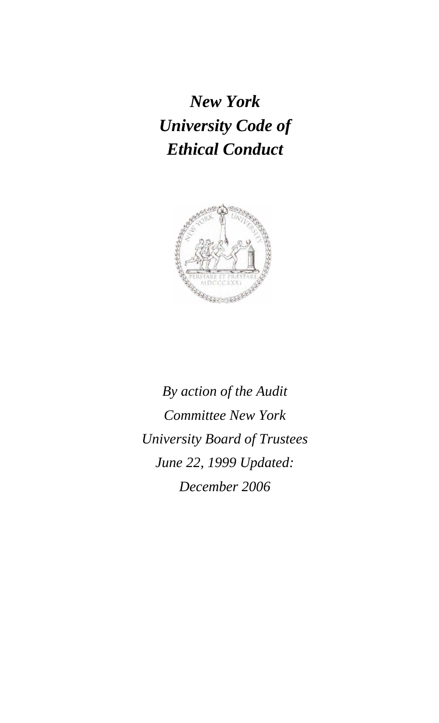*New York University Code of Ethical Conduct* 



*By action of the Audit Committee New York University Board of Trustees June 22, 1999 Updated: December 2006*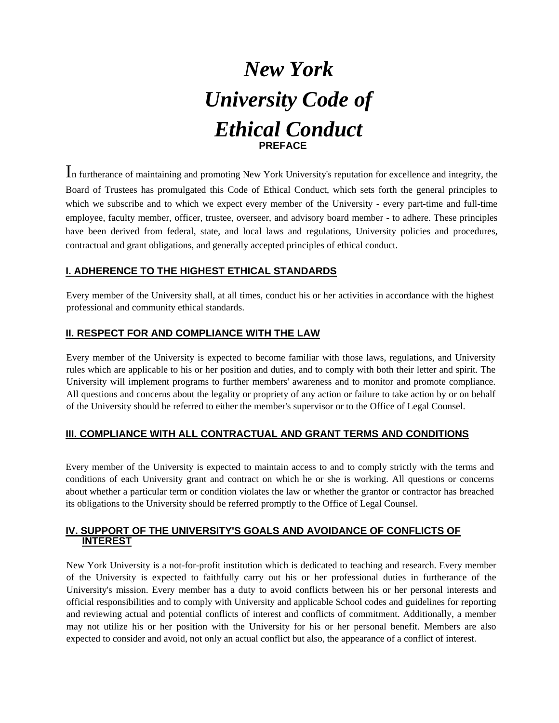

In furtherance of maintaining and promoting New York University's reputation for excellence and integrity, the Board of Trustees has promulgated this Code of Ethical Conduct, which sets forth the general principles to which we subscribe and to which we expect every member of the University - every part-time and full-time employee, faculty member, officer, trustee, overseer, and advisory board member - to adhere. These principles have been derived from federal, state, and local laws and regulations, University policies and procedures, contractual and grant obligations, and generally accepted principles of ethical conduct.

## **I. ADHERENCE TO THE HIGHEST ETHICAL STANDARDS**

Every member of the University shall, at all times, conduct his or her activities in accordance with the highest professional and community ethical standards.

#### **II. RESPECT FOR AND COMPLIANCE WITH THE LAW**

Every member of the University is expected to become familiar with those laws, regulations, and University rules which are applicable to his or her position and duties, and to comply with both their letter and spirit. The University will implement programs to further members' awareness and to monitor and promote compliance. All questions and concerns about the legality or propriety of any action or failure to take action by or on behalf of the University should be referred to either the member's supervisor or to the Office of Legal Counsel.

## **III. COMPLIANCE WITH ALL CONTRACTUAL AND GRANT TERMS AND CONDITIONS**

Every member of the University is expected to maintain access to and to comply strictly with the terms and conditions of each University grant and contract on which he or she is working. All questions or concerns about whether a particular term or condition violates the law or whether the grantor or contractor has breached its obligations to the University should be referred promptly to the Office of Legal Counsel.

## **IV. SUPPORT OF THE UNIVERSITY'S GOALS AND AVOIDANCE OF CONFLICTS OF INTEREST**

New York University is a not-for-profit institution which is dedicated to teaching and research. Every member of the University is expected to faithfully carry out his or her professional duties in furtherance of the University's mission. Every member has a duty to avoid conflicts between his or her personal interests and official responsibilities and to comply with University and applicable School codes and guidelines for reporting and reviewing actual and potential conflicts of interest and conflicts of commitment. Additionally, a member may not utilize his or her position with the University for his or her personal benefit. Members are also expected to consider and avoid, not only an actual conflict but also, the appearance of a conflict of interest.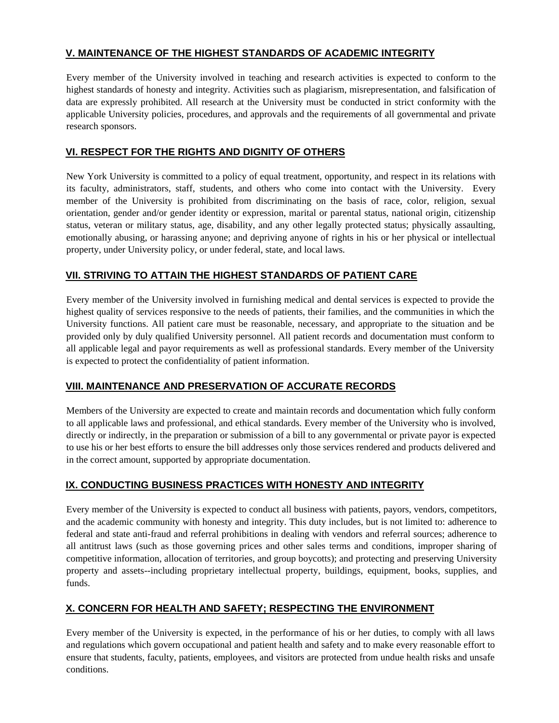# **V. MAINTENANCE OF THE HIGHEST STANDARDS OF ACADEMIC INTEGRITY**

Every member of the University involved in teaching and research activities is expected to conform to the highest standards of honesty and integrity. Activities such as plagiarism, misrepresentation, and falsification of data are expressly prohibited. All research at the University must be conducted in strict conformity with the applicable University policies, procedures, and approvals and the requirements of all governmental and private research sponsors.

# **VI. RESPECT FOR THE RIGHTS AND DIGNITY OF OTHERS**

New York University is committed to a policy of equal treatment, opportunity, and respect in its relations with its faculty, administrators, staff, students, and others who come into contact with the University. Every member of the University is prohibited from discriminating on the basis of race, color, religion, sexual orientation, gender and/or gender identity or expression, marital or parental status, national origin, citizenship status, veteran or military status, age, disability, and any other legally protected status; physically assaulting, emotionally abusing, or harassing anyone; and depriving anyone of rights in his or her physical or intellectual property, under University policy, or under federal, state, and local laws.

# **VII. STRIVING TO ATTAIN THE HIGHEST STANDARDS OF PATIENT CARE**

Every member of the University involved in furnishing medical and dental services is expected to provide the highest quality of services responsive to the needs of patients, their families, and the communities in which the University functions. All patient care must be reasonable, necessary, and appropriate to the situation and be provided only by duly qualified University personnel. All patient records and documentation must conform to all applicable legal and payor requirements as well as professional standards. Every member of the University is expected to protect the confidentiality of patient information.

# **VIII. MAINTENANCE AND PRESERVATION OF ACCURATE RECORDS**

Members of the University are expected to create and maintain records and documentation which fully conform to all applicable laws and professional, and ethical standards. Every member of the University who is involved, directly or indirectly, in the preparation or submission of a bill to any governmental or private payor is expected to use his or her best efforts to ensure the bill addresses only those services rendered and products delivered and in the correct amount, supported by appropriate documentation.

# **IX. CONDUCTING BUSINESS PRACTICES WITH HONESTY AND INTEGRITY**

Every member of the University is expected to conduct all business with patients, payors, vendors, competitors, and the academic community with honesty and integrity. This duty includes, but is not limited to: adherence to federal and state anti-fraud and referral prohibitions in dealing with vendors and referral sources; adherence to all antitrust laws (such as those governing prices and other sales terms and conditions, improper sharing of competitive information, allocation of territories, and group boycotts); and protecting and preserving University property and assets--including proprietary intellectual property, buildings, equipment, books, supplies, and funds.

## **X. CONCERN FOR HEALTH AND SAFETY; RESPECTING THE ENVIRONMENT**

Every member of the University is expected, in the performance of his or her duties, to comply with all laws and regulations which govern occupational and patient health and safety and to make every reasonable effort to ensure that students, faculty, patients, employees, and visitors are protected from undue health risks and unsafe conditions.